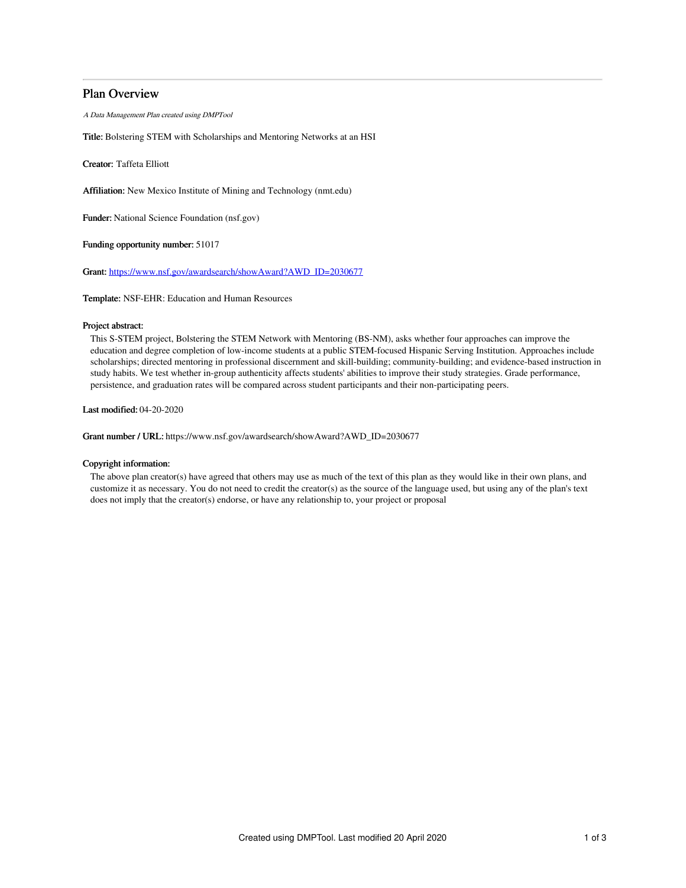# Plan Overview

A Data Management Plan created using DMPTool

Title: Bolstering STEM with Scholarships and Mentoring Networks at an HSI

Creator: Taffeta Elliott

Affiliation: New Mexico Institute of Mining and Technology (nmt.edu)

Funder: National Science Foundation (nsf.gov)

Funding opportunity number: 51017

Grant: [https://www.nsf.gov/awardsearch/showAward?AWD\\_ID=2030677](https://www.nsf.gov/awardsearch/showAward?AWD_ID=2030677)

Template: NSF-EHR: Education and Human Resources

## Project abstract:

This S-STEM project, Bolstering the STEM Network with Mentoring (BS-NM), asks whether four approaches can improve the education and degree completion of low-income students at a public STEM-focused Hispanic Serving Institution. Approaches include scholarships; directed mentoring in professional discernment and skill-building; community-building; and evidence-based instruction in study habits. We test whether in-group authenticity affects students' abilities to improve their study strategies. Grade performance, persistence, and graduation rates will be compared across student participants and their non-participating peers.

Last modified: 04-20-2020

Grant number / URL: https://www.nsf.gov/awardsearch/showAward?AWD\_ID=2030677

## Copyright information:

The above plan creator(s) have agreed that others may use as much of the text of this plan as they would like in their own plans, and customize it as necessary. You do not need to credit the creator(s) as the source of the language used, but using any of the plan's text does not imply that the creator(s) endorse, or have any relationship to, your project or proposal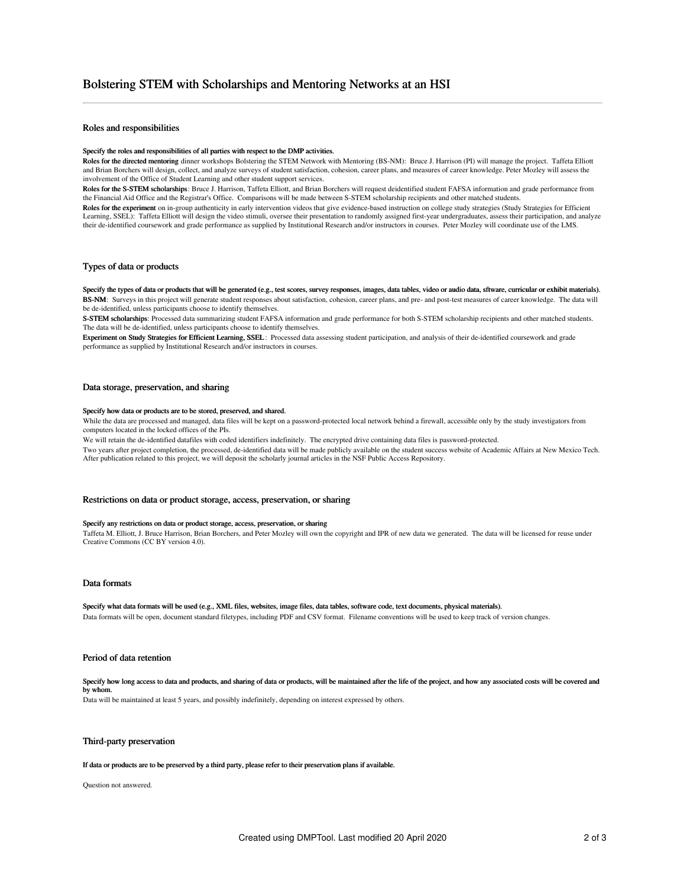## Roles and responsibilities

#### Specify the roles and responsibilities of all parties with respect to the DMP activities.

Roles for the directed mentoring dinner workshops Bolstering the STEM Network with Mentoring (BS-NM): Bruce J. Harrison (PI) will manage the project. Taffeta Elliott and Brian Borchers will design, collect, and analyze surveys of student satisfaction, cohesion, career plans, and measures of career knowledge. Peter Mozley will assess the involvement of the Office of Student Learning and other student support services.

Roles for the S-STEM scholarships: Bruce J. Harrison, Taffeta Elliott, and Brian Borchers will request deidentified student FAFSA information and grade performance from the Financial Aid Office and the Registrar's Office. Comparisons will be made between S-STEM scholarship recipients and other matched students.

Roles for the experiment on in-group authenticity in early intervention videos that give evidence-based instruction on college study strategies (Study Strategies for Efficient Learning, SSEL): Taffeta Elliott will design the video stimuli, oversee their presentation to randomly assigned first-year undergraduates, assess their participation, and analyze their de-identified coursework and grade performance as supplied by Institutional Research and/or instructors in courses. Peter Mozley will coordinate use of the LMS.

## Types of data or products

Specify the types of data or products that will be generated (e.g., test scores, survey responses, images, data tables, video or audio data, sftware, curricular or exhibit materials). BS-NM: Surveys in this project will generate student responses about satisfaction, cohesion, career plans, and pre- and post-test measures of career knowledge. The data will be de-identified, unless participants choose to identify themselves.

S-STEM scholarships: Processed data summarizing student FAFSA information and grade performance for both S-STEM scholarship recipients and other matched students. The data will be de-identified, unless participants choose to identify themselves.

Experiment on Study Strategies for Efficient Learning, SSEL: Processed data assessing student participation, and analysis of their de-identified coursework and grade performance as supplied by Institutional Research and/or instructors in courses.

### Data storage, preservation, and sharing

#### Specify how data or products are to be stored, preserved, and shared.

While the data are processed and managed, data files will be kept on a password-protected local network behind a firewall, accessible only by the study investigators from computers located in the locked offices of the PIs.

We will retain the de-identified datafiles with coded identifiers indefinitely. The encrypted drive containing data files is password-protected. Two years after project completion, the processed, de-identified data will be made publicly available on the student success website of Academic Affairs at New Mexico Tech.

After publication related to this project, we will deposit the scholarly journal articles in the NSF Public Access Repository.

## Restrictions on data or product storage, access, preservation, or sharing

#### Specify any restrictions on data or product storage, access, preservation, or sharing

Taffeta M. Elliott, J. Bruce Harrison, Brian Borchers, and Peter Mozley will own the copyright and IPR of new data we generated. The data will be licensed for reuse under Creative Commons (CC BY version 4.0).

### Data formats

Specify what data formats will be used (e.g., XML files, websites, image files, data tables, software code, text documents, physical materials). Data formats will be open, document standard filetypes, including PDF and CSV format. Filename conventions will be used to keep track of version changes.

#### Period of data retention

Specify how long access to data and products, and sharing of data or products, will be maintained after the life of the project, and how any associated costs will be covered and by whom.

Data will be maintained at least 5 years, and possibly indefinitely, depending on interest expressed by others.

### Third-party preservation

If data or products are to be preserved by a third party, please refer to their preservation plans if available.

Question not answered.